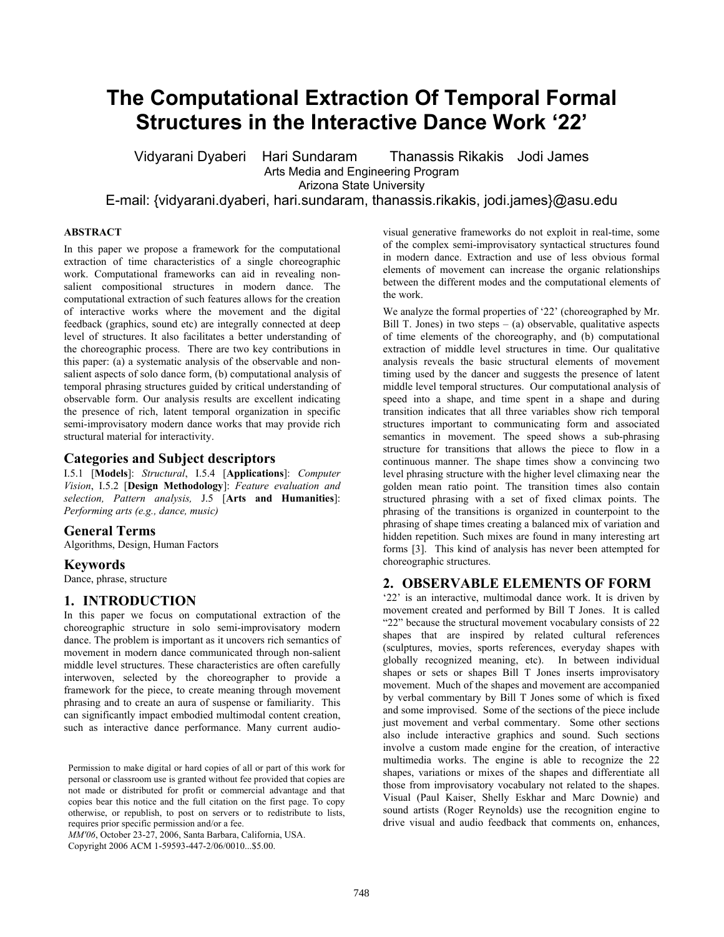# **The Computational Extraction Of Temporal Formal Structures in the Interactive Dance Work '22'**

Vidyarani Dyaberi Hari Sundaram Thanassis Rikakis Jodi James Arts Media and Engineering Program Arizona State University

E-mail: {vidyarani.dyaberi, hari.sundaram, thanassis.rikakis, jodi.james}@asu.edu

#### **ABSTRACT**

In this paper we propose a framework for the computational extraction of time characteristics of a single choreographic work. Computational frameworks can aid in revealing nonsalient compositional structures in modern dance. The computational extraction of such features allows for the creation of interactive works where the movement and the digital feedback (graphics, sound etc) are integrally connected at deep level of structures. It also facilitates a better understanding of the choreographic process. There are two key contributions in this paper: (a) a systematic analysis of the observable and nonsalient aspects of solo dance form, (b) computational analysis of temporal phrasing structures guided by critical understanding of observable form. Our analysis results are excellent indicating the presence of rich, latent temporal organization in specific semi-improvisatory modern dance works that may provide rich structural material for interactivity.

# **Categories and Subject descriptors**

I.5.1 [**Models**]: *Structural*, I.5.4 [**Applications**]: *Computer Vision*, I.5.2 [**Design Methodology**]: *Feature evaluation and selection, Pattern analysis,* J.5 [**Arts and Humanities**]: *Performing arts (e.g., dance, music)*

# **General Terms**

Algorithms, Design, Human Factors

#### **Keywords**

Dance, phrase, structure

# **1. INTRODUCTION**

In this paper we focus on computational extraction of the choreographic structure in solo semi-improvisatory modern dance. The problem is important as it uncovers rich semantics of movement in modern dance communicated through non-salient middle level structures. These characteristics are often carefully interwoven, selected by the choreographer to provide a framework for the piece, to create meaning through movement phrasing and to create an aura of suspense or familiarity. This can significantly impact embodied multimodal content creation, such as interactive dance performance. Many current audio-

*MM'06*, October 23-27, 2006, Santa Barbara, California, USA.

Copyright 2006 ACM 1-59593-447-2/06/0010...\$5.00.

visual generative frameworks do not exploit in real-time, some of the complex semi-improvisatory syntactical structures found in modern dance. Extraction and use of less obvious formal elements of movement can increase the organic relationships between the different modes and the computational elements of the work.

We analyze the formal properties of '22' (choreographed by Mr. Bill T. Jones) in two steps  $-$  (a) observable, qualitative aspects of time elements of the choreography, and (b) computational extraction of middle level structures in time. Our qualitative analysis reveals the basic structural elements of movement timing used by the dancer and suggests the presence of latent middle level temporal structures. Our computational analysis of speed into a shape, and time spent in a shape and during transition indicates that all three variables show rich temporal structures important to communicating form and associated semantics in movement. The speed shows a sub-phrasing structure for transitions that allows the piece to flow in a continuous manner. The shape times show a convincing two level phrasing structure with the higher level climaxing near the golden mean ratio point. The transition times also contain structured phrasing with a set of fixed climax points. The phrasing of the transitions is organized in counterpoint to the phrasing of shape times creating a balanced mix of variation and hidden repetition. Such mixes are found in many interesting art forms [3]. This kind of analysis has never been attempted for choreographic structures.

# **2. OBSERVABLE ELEMENTS OF FORM**

'22' is an interactive, multimodal dance work. It is driven by movement created and performed by Bill T Jones. It is called "22" because the structural movement vocabulary consists of 22 shapes that are inspired by related cultural references (sculptures, movies, sports references, everyday shapes with globally recognized meaning, etc). In between individual shapes or sets or shapes Bill T Jones inserts improvisatory movement. Much of the shapes and movement are accompanied by verbal commentary by Bill T Jones some of which is fixed and some improvised. Some of the sections of the piece include just movement and verbal commentary. Some other sections also include interactive graphics and sound. Such sections involve a custom made engine for the creation, of interactive multimedia works. The engine is able to recognize the 22 shapes, variations or mixes of the shapes and differentiate all those from improvisatory vocabulary not related to the shapes. Visual (Paul Kaiser, Shelly Eskhar and Marc Downie) and sound artists (Roger Reynolds) use the recognition engine to drive visual and audio feedback that comments on, enhances,

Permission to make digital or hard copies of all or part of this work for personal or classroom use is granted without fee provided that copies are not made or distributed for profit or commercial advantage and that copies bear this notice and the full citation on the first page. To copy otherwise, or republish, to post on servers or to redistribute to lists, requires prior specific permission and/or a fee.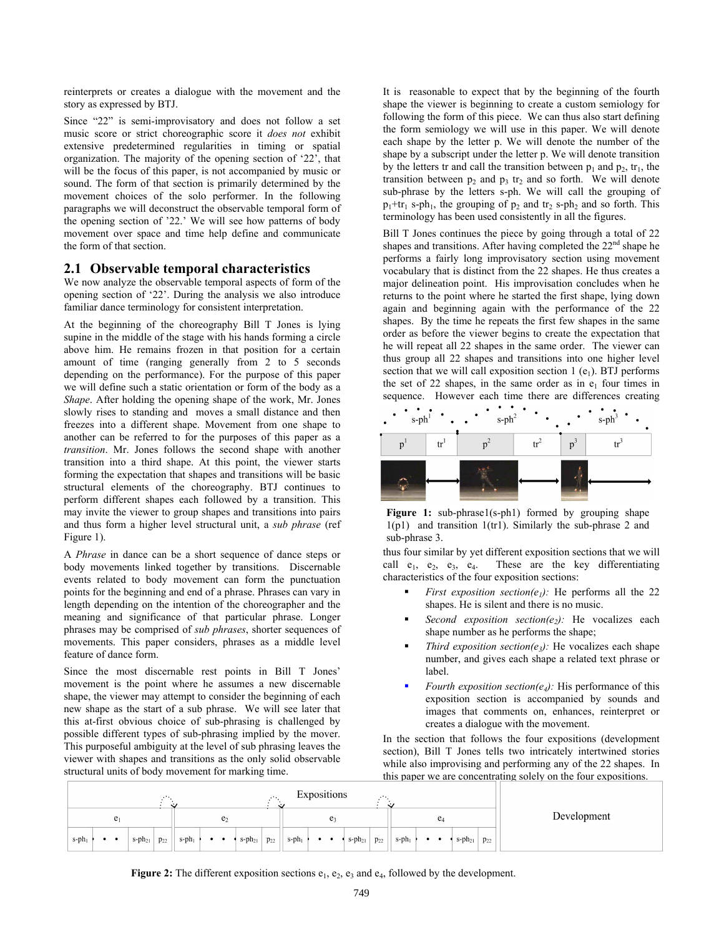reinterprets or creates a dialogue with the movement and the story as expressed by BTJ.

Since "22" is semi-improvisatory and does not follow a set music score or strict choreographic score it *does not* exhibit extensive predetermined regularities in timing or spatial organization. The majority of the opening section of '22', that will be the focus of this paper, is not accompanied by music or sound. The form of that section is primarily determined by the movement choices of the solo performer. In the following paragraphs we will deconstruct the observable temporal form of the opening section of '22.' We will see how patterns of body movement over space and time help define and communicate the form of that section.

#### **2.1 Observable temporal characteristics**

We now analyze the observable temporal aspects of form of the opening section of '22'. During the analysis we also introduce familiar dance terminology for consistent interpretation.

At the beginning of the choreography Bill T Jones is lying supine in the middle of the stage with his hands forming a circle above him. He remains frozen in that position for a certain amount of time (ranging generally from 2 to 5 seconds depending on the performance). For the purpose of this paper we will define such a static orientation or form of the body as a *Shape*. After holding the opening shape of the work, Mr. Jones slowly rises to standing and moves a small distance and then freezes into a different shape. Movement from one shape to another can be referred to for the purposes of this paper as a *transition*. Mr. Jones follows the second shape with another transition into a third shape. At this point, the viewer starts forming the expectation that shapes and transitions will be basic structural elements of the choreography. BTJ continues to perform different shapes each followed by a transition. This may invite the viewer to group shapes and transitions into pairs and thus form a higher level structural unit, a *sub phrase* (ref Figure 1).

A *Phrase* in dance can be a short sequence of dance steps or body movements linked together by transitions. Discernable events related to body movement can form the punctuation points for the beginning and end of a phrase. Phrases can vary in length depending on the intention of the choreographer and the meaning and significance of that particular phrase. Longer phrases may be comprised of *sub phrases*, shorter sequences of movements. This paper considers, phrases as a middle level feature of dance form.

Since the most discernable rest points in Bill T Jones' movement is the point where he assumes a new discernable shape, the viewer may attempt to consider the beginning of each new shape as the start of a sub phrase. We will see later that this at-first obvious choice of sub-phrasing is challenged by possible different types of sub-phrasing implied by the mover. This purposeful ambiguity at the level of sub phrasing leaves the viewer with shapes and transitions as the only solid observable structural units of body movement for marking time.

It is reasonable to expect that by the beginning of the fourth shape the viewer is beginning to create a custom semiology for following the form of this piece. We can thus also start defining the form semiology we will use in this paper. We will denote each shape by the letter p. We will denote the number of the shape by a subscript under the letter p. We will denote transition by the letters tr and call the transition between  $p_1$  and  $p_2$ ,  $tr_1$ , the transition between  $p_2$  and  $p_3$  tr<sub>2</sub> and so forth. We will denote sub-phrase by the letters s-ph. We will call the grouping of  $p_1$ +tr<sub>1</sub> s-ph<sub>1</sub>, the grouping of  $p_2$  and tr<sub>2</sub> s-ph<sub>2</sub> and so forth. This terminology has been used consistently in all the figures.

Bill T Jones continues the piece by going through a total of 22 shapes and transitions. After having completed the  $22<sup>nd</sup>$  shape he performs a fairly long improvisatory section using movement vocabulary that is distinct from the 22 shapes. He thus creates a major delineation point. His improvisation concludes when he returns to the point where he started the first shape, lying down again and beginning again with the performance of the 22 shapes. By the time he repeats the first few shapes in the same order as before the viewer begins to create the expectation that he will repeat all 22 shapes in the same order. The viewer can thus group all 22 shapes and transitions into one higher level section that we will call exposition section 1  $(e_1)$ . BTJ performs the set of 22 shapes, in the same order as in  $e_1$  four times in sequence. However each time there are differences creating



Figure 1: sub-phrase1(s-ph1) formed by grouping shape  $1(p1)$  and transition  $1(tr1)$ . Similarly the sub-phrase 2 and sub-phrase 3.

thus four similar by yet different exposition sections that we will call  $e_1$ ,  $e_2$ ,  $e_3$ ,  $e_4$ . These are the key differentiating characteristics of the four exposition sections:

- *First exposition section(e<sub>1</sub>)*: He performs all the 22 shapes. He is silent and there is no music.
- *Second exposition section(e2):* He vocalizes each shape number as he performs the shape;
- *Third exposition section(e<sub>3</sub>)*: He vocalizes each shape number, and gives each shape a related text phrase or label.
- *Fourth exposition section(e<sub>4</sub>)*: His performance of this exposition section is accompanied by sounds and images that comments on, enhances, reinterpret or creates a dialogue with the movement.

In the section that follows the four expositions (development section), Bill T Jones tells two intricately intertwined stories while also improvising and performing any of the 22 shapes. In this paper we are concentrating solely on the four expositions.



**Figure 2:** The different exposition sections  $e_1$ ,  $e_2$ ,  $e_3$  and  $e_4$ , followed by the development.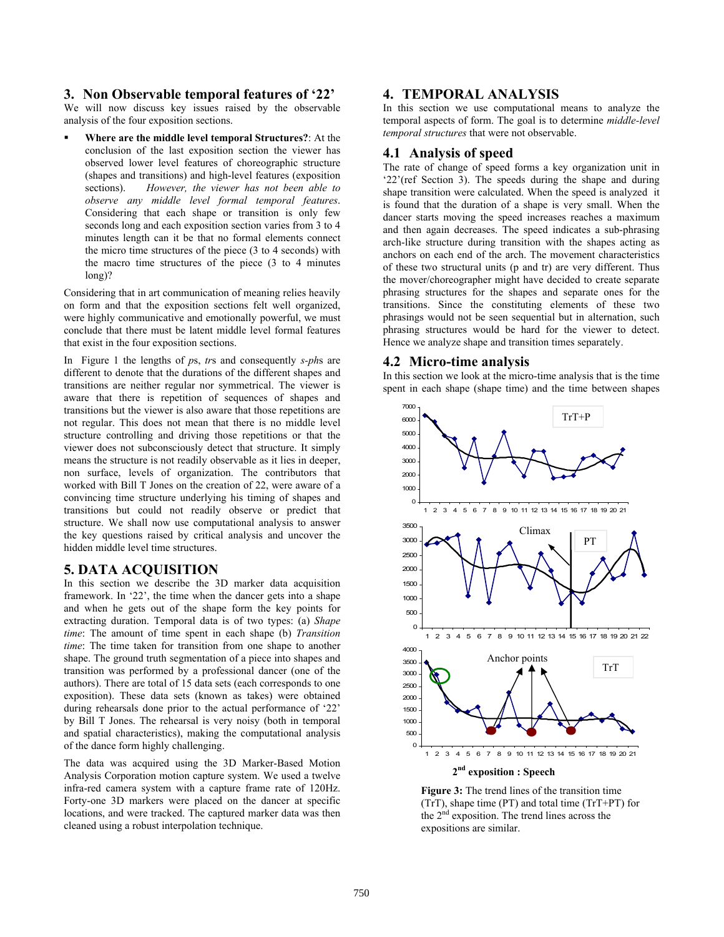#### **3. Non Observable temporal features of '22'**

We will now discuss key issues raised by the observable analysis of the four exposition sections.

 **Where are the middle level temporal Structures?**: At the conclusion of the last exposition section the viewer has observed lower level features of choreographic structure (shapes and transitions) and high-level features (exposition sections). *However, the viewer has not been able to observe any middle level formal temporal features*. Considering that each shape or transition is only few seconds long and each exposition section varies from 3 to 4 minutes length can it be that no formal elements connect the micro time structures of the piece (3 to 4 seconds) with the macro time structures of the piece (3 to 4 minutes long)?

Considering that in art communication of meaning relies heavily on form and that the exposition sections felt well organized, were highly communicative and emotionally powerful, we must conclude that there must be latent middle level formal features that exist in the four exposition sections.

In Figure 1 the lengths of *p*s, *tr*s and consequently *s-ph*s are different to denote that the durations of the different shapes and transitions are neither regular nor symmetrical. The viewer is aware that there is repetition of sequences of shapes and transitions but the viewer is also aware that those repetitions are not regular. This does not mean that there is no middle level structure controlling and driving those repetitions or that the viewer does not subconsciously detect that structure. It simply means the structure is not readily observable as it lies in deeper, non surface, levels of organization. The contributors that worked with Bill T Jones on the creation of 22, were aware of a convincing time structure underlying his timing of shapes and transitions but could not readily observe or predict that structure. We shall now use computational analysis to answer the key questions raised by critical analysis and uncover the hidden middle level time structures.

#### **5. DATA ACQUISITION**

In this section we describe the 3D marker data acquisition framework. In '22', the time when the dancer gets into a shape and when he gets out of the shape form the key points for extracting duration. Temporal data is of two types: (a) *Shape time*: The amount of time spent in each shape (b) *Transition time*: The time taken for transition from one shape to another shape. The ground truth segmentation of a piece into shapes and transition was performed by a professional dancer (one of the authors). There are total of 15 data sets (each corresponds to one exposition). These data sets (known as takes) were obtained during rehearsals done prior to the actual performance of '22' by Bill T Jones. The rehearsal is very noisy (both in temporal and spatial characteristics), making the computational analysis of the dance form highly challenging.

The data was acquired using the 3D Marker-Based Motion Analysis Corporation motion capture system. We used a twelve infra-red camera system with a capture frame rate of 120Hz. Forty-one 3D markers were placed on the dancer at specific locations, and were tracked. The captured marker data was then cleaned using a robust interpolation technique.

#### **4. TEMPORAL ANALYSIS**

In this section we use computational means to analyze the temporal aspects of form. The goal is to determine *middle-level temporal structures* that were not observable.

#### **4.1 Analysis of speed**

The rate of change of speed forms a key organization unit in '22'(ref Section 3). The speeds during the shape and during shape transition were calculated. When the speed is analyzed it is found that the duration of a shape is very small. When the dancer starts moving the speed increases reaches a maximum and then again decreases. The speed indicates a sub-phrasing arch-like structure during transition with the shapes acting as anchors on each end of the arch. The movement characteristics of these two structural units (p and tr) are very different. Thus the mover/choreographer might have decided to create separate phrasing structures for the shapes and separate ones for the transitions. Since the constituting elements of these two phrasings would not be seen sequential but in alternation, such phrasing structures would be hard for the viewer to detect. Hence we analyze shape and transition times separately.

#### **4.2 Micro-time analysis**

In this section we look at the micro-time analysis that is the time spent in each shape (shape time) and the time between shapes



**Figure 3:** The trend lines of the transition time (TrT), shape time (PT) and total time (TrT+PT) for the 2nd exposition. The trend lines across the expositions are similar.